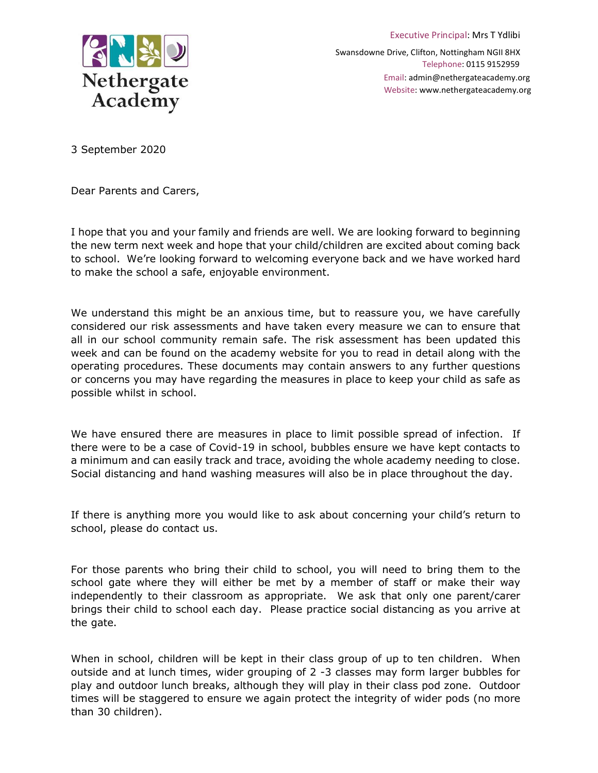

Swansdowne Drive, Clifton, Nottingham NGII 8HX Telephone: 0115 9152959 Email: admin@nethergateacademy.org Website: www.nethergateacademy.org

Executive Principal: Mrs T Ydlibi

3 September 2020

Dear Parents and Carers,

I hope that you and your family and friends are well. We are looking forward to beginning the new term next week and hope that your child/children are excited about coming back to school. We're looking forward to welcoming everyone back and we have worked hard to make the school a safe, enjoyable environment.

We understand this might be an anxious time, but to reassure you, we have carefully considered our risk assessments and have taken every measure we can to ensure that all in our school community remain safe. The risk assessment has been updated this week and can be found on the academy website for you to read in detail along with the operating procedures. These documents may contain answers to any further questions or concerns you may have regarding the measures in place to keep your child as safe as possible whilst in school.

We have ensured there are measures in place to limit possible spread of infection. If there were to be a case of Covid-19 in school, bubbles ensure we have kept contacts to a minimum and can easily track and trace, avoiding the whole academy needing to close. Social distancing and hand washing measures will also be in place throughout the day.

If there is anything more you would like to ask about concerning your child's return to school, please do contact us.

For those parents who bring their child to school, you will need to bring them to the school gate where they will either be met by a member of staff or make their way independently to their classroom as appropriate. We ask that only one parent/carer brings their child to school each day. Please practice social distancing as you arrive at the gate.

When in school, children will be kept in their class group of up to ten children. When outside and at lunch times, wider grouping of 2 -3 classes may form larger bubbles for play and outdoor lunch breaks, although they will play in their class pod zone. Outdoor times will be staggered to ensure we again protect the integrity of wider pods (no more than 30 children).